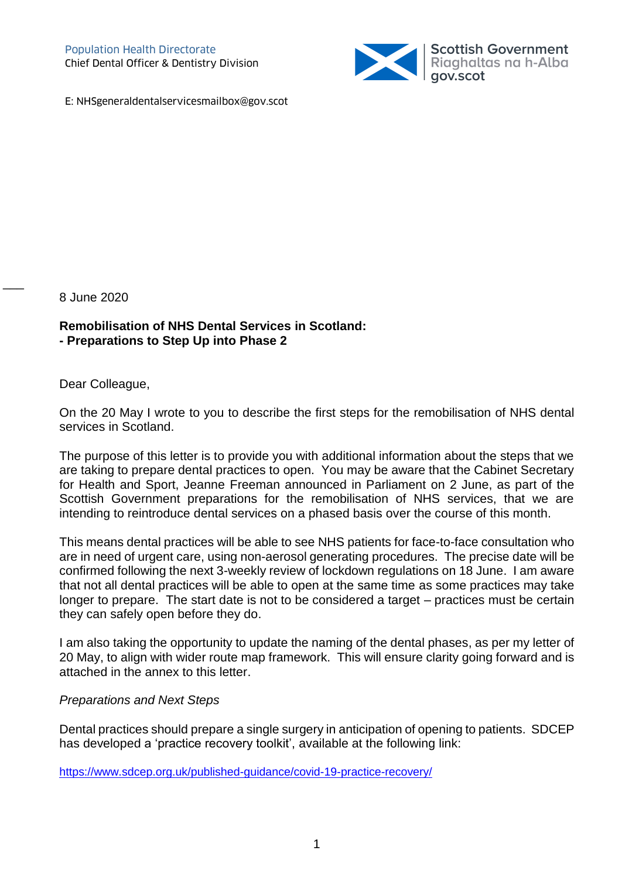

E: NHSgeneraldentalservicesmailbox@gov.scot

8 June 2020

 $\overline{\phantom{a}}$ 

**Remobilisation of NHS Dental Services in Scotland: - Preparations to Step Up into Phase 2**

Dear Colleague,

On the 20 May I wrote to you to describe the first steps for the remobilisation of NHS dental services in Scotland.

The purpose of this letter is to provide you with additional information about the steps that we are taking to prepare dental practices to open. You may be aware that the Cabinet Secretary for Health and Sport, Jeanne Freeman announced in Parliament on 2 June, as part of the Scottish Government preparations for the remobilisation of NHS services, that we are intending to reintroduce dental services on a phased basis over the course of this month.

This means dental practices will be able to see NHS patients for face-to-face consultation who are in need of urgent care, using non-aerosol generating procedures. The precise date will be confirmed following the next 3-weekly review of lockdown regulations on 18 June. I am aware that not all dental practices will be able to open at the same time as some practices may take longer to prepare. The start date is not to be considered a target – practices must be certain they can safely open before they do.

I am also taking the opportunity to update the naming of the dental phases, as per my letter of 20 May, to align with wider route map framework. This will ensure clarity going forward and is attached in the annex to this letter.

## *Preparations and Next Steps*

Dental practices should prepare a single surgery in anticipation of opening to patients. SDCEP has developed a 'practice recovery toolkit', available at the following link:

<https://www.sdcep.org.uk/published-guidance/covid-19-practice-recovery/>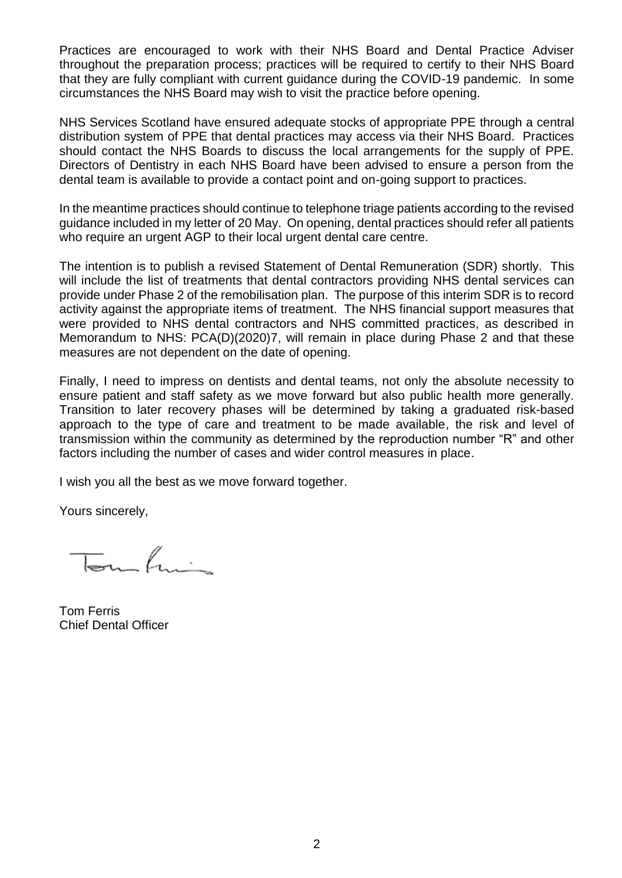Practices are encouraged to work with their NHS Board and Dental Practice Adviser throughout the preparation process; practices will be required to certify to their NHS Board that they are fully compliant with current guidance during the COVID-19 pandemic. In some circumstances the NHS Board may wish to visit the practice before opening.

NHS Services Scotland have ensured adequate stocks of appropriate PPE through a central distribution system of PPE that dental practices may access via their NHS Board. Practices should contact the NHS Boards to discuss the local arrangements for the supply of PPE. Directors of Dentistry in each NHS Board have been advised to ensure a person from the dental team is available to provide a contact point and on-going support to practices.

In the meantime practices should continue to telephone triage patients according to the revised guidance included in my letter of 20 May. On opening, dental practices should refer all patients who require an urgent AGP to their local urgent dental care centre.

The intention is to publish a revised Statement of Dental Remuneration (SDR) shortly. This will include the list of treatments that dental contractors providing NHS dental services can provide under Phase 2 of the remobilisation plan. The purpose of this interim SDR is to record activity against the appropriate items of treatment. The NHS financial support measures that were provided to NHS dental contractors and NHS committed practices, as described in Memorandum to NHS: PCA(D)(2020)7, will remain in place during Phase 2 and that these measures are not dependent on the date of opening.

Finally, I need to impress on dentists and dental teams, not only the absolute necessity to ensure patient and staff safety as we move forward but also public health more generally. Transition to later recovery phases will be determined by taking a graduated risk-based approach to the type of care and treatment to be made available, the risk and level of transmission within the community as determined by the reproduction number "R" and other factors including the number of cases and wider control measures in place.

I wish you all the best as we move forward together.

Yours sincerely,

 $\overline{b}$ 

Tom Ferris Chief Dental Officer